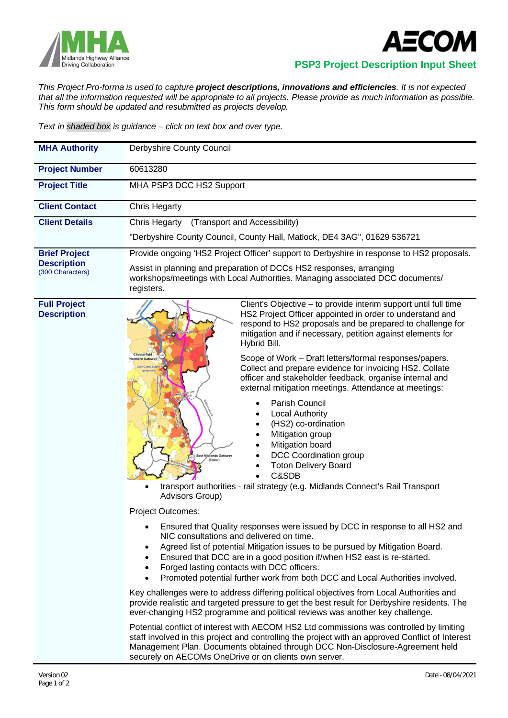



 **PSP3 Project Description Input Sheet**

*This Project Pro-forma is used to capture project descriptions, innovations and efficiencies. It is not expected that all the information requested will be appropriate to all projects. Please provide as much information as possible. This form should be updated and resubmitted as projects develop.*

*Text in shaded box is guidance – click on text box and over type.*

| <b>MHA Authority</b>                                           | Derbyshire County Council                                                                                                                                          |
|----------------------------------------------------------------|--------------------------------------------------------------------------------------------------------------------------------------------------------------------|
| <b>Project Number</b>                                          | 60613280                                                                                                                                                           |
| <b>Project Title</b>                                           | MHA PSP3 DCC HS2 Support                                                                                                                                           |
| <b>Client Contact</b>                                          | Chris Hegarty                                                                                                                                                      |
| <b>Client Details</b>                                          | (Transport and Accessibility)<br>Chris Hegarty                                                                                                                     |
|                                                                | "Derbyshire County Council, County Hall, Matlock, DE4 3AG", 01629 536721                                                                                           |
| <b>Brief Project</b><br><b>Description</b><br>(300 Characters) | Provide ongoing 'HS2 Project Officer' support to Derbyshire in response to HS2 proposals.                                                                          |
|                                                                | Assist in planning and preparation of DCCs HS2 responses, arranging<br>workshops/meetings with Local Authorities. Managing associated DCC documents/<br>registers. |

**Full Project Description**



Client's Objective – to provide interim support until full time HS2 Project Officer appointed in order to understand and respond to HS2 proposals and be prepared to challenge for mitigation and if necessary, petition against elements for Hybrid Bill.

Scope of Work – Draft letters/formal responses/papers. Collect and prepare evidence for invoicing HS2. Collate officer and stakeholder feedback, organise internal and external mitigation meetings. Attendance at meetings:

- Parish Council
- Local Authority
- (HS2) co-ordination
- Mitigation group
- Mitigation board
- DCC Coordination group
- Toton Delivery Board
- C&SDB
- transport authorities rail strategy (e.g. Midlands Connect's Rail Transport Advisors Group)

Project Outcomes:

- Ensured that Quality responses were issued by DCC in response to all HS2 and NIC consultations and delivered on time.
- Agreed list of potential Mitigation issues to be pursued by Mitigation Board.
- Ensured that DCC are in a good position if/when HS2 east is re-started.
- Forged lasting contacts with DCC officers.
- Promoted potential further work from both DCC and Local Authorities involved.

Key challenges were to address differing political objectives from Local Authorities and provide realistic and targeted pressure to get the best result for Derbyshire residents. The ever-changing HS2 programme and political reviews was another key challenge.

Potential conflict of interest with AECOM HS2 Ltd commissions was controlled by limiting staff involved in this project and controlling the project with an approved Conflict of Interest Management Plan. Documents obtained through DCC Non-Disclosure-Agreement held securely on AECOMs OneDrive or on clients own server.